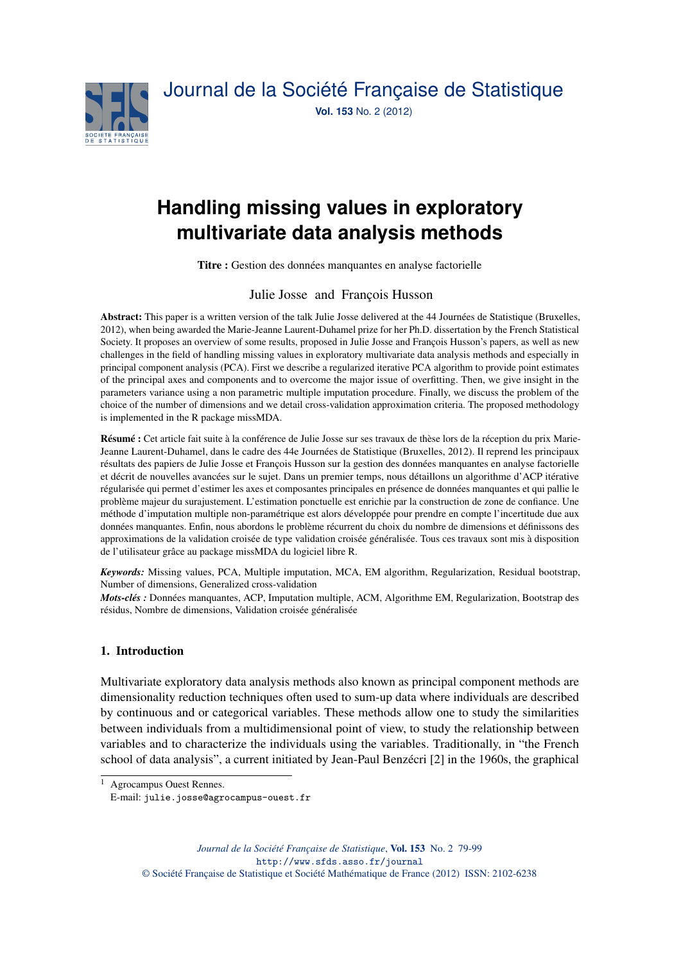

# **Handling missing values in exploratory multivariate data analysis methods**

Titre : Gestion des données manquantes en analyse factorielle

## Julie Josse and François Husson

Abstract: This paper is a written version of the talk Julie Josse delivered at the 44 Journées de Statistique (Bruxelles, 2012), when being awarded the Marie-Jeanne Laurent-Duhamel prize for her Ph.D. dissertation by the French Statistical Society. It proposes an overview of some results, proposed in Julie Josse and François Husson's papers, as well as new challenges in the field of handling missing values in exploratory multivariate data analysis methods and especially in principal component analysis (PCA). First we describe a regularized iterative PCA algorithm to provide point estimates of the principal axes and components and to overcome the major issue of overfitting. Then, we give insight in the parameters variance using a non parametric multiple imputation procedure. Finally, we discuss the problem of the choice of the number of dimensions and we detail cross-validation approximation criteria. The proposed methodology is implemented in the R package missMDA.

Résumé : Cet article fait suite à la conférence de Julie Josse sur ses travaux de thèse lors de la réception du prix Marie-Jeanne Laurent-Duhamel, dans le cadre des 44e Journées de Statistique (Bruxelles, 2012). Il reprend les principaux résultats des papiers de Julie Josse et François Husson sur la gestion des données manquantes en analyse factorielle et décrit de nouvelles avancées sur le sujet. Dans un premier temps, nous détaillons un algorithme d'ACP itérative régularisée qui permet d'estimer les axes et composantes principales en présence de données manquantes et qui pallie le problème majeur du surajustement. L'estimation ponctuelle est enrichie par la construction de zone de confiance. Une méthode d'imputation multiple non-paramétrique est alors développée pour prendre en compte l'incertitude due aux données manquantes. Enfin, nous abordons le problème récurrent du choix du nombre de dimensions et définissons des approximations de la validation croisée de type validation croisée généralisée. Tous ces travaux sont mis à disposition de l'utilisateur grâce au package missMDA du logiciel libre R.

*Keywords:* Missing values, PCA, Multiple imputation, MCA, EM algorithm, Regularization, Residual bootstrap, Number of dimensions, Generalized cross-validation

*Mots-clés :* Données manquantes, ACP, Imputation multiple, ACM, Algorithme EM, Regularization, Bootstrap des résidus, Nombre de dimensions, Validation croisée généralisée

## 1. Introduction

Multivariate exploratory data analysis methods also known as principal component methods are dimensionality reduction techniques often used to sum-up data where individuals are described by continuous and or categorical variables. These methods allow one to study the similarities between individuals from a multidimensional point of view, to study the relationship between variables and to characterize the individuals using the variables. Traditionally, in "the French school of data analysis", a current initiated by Jean-Paul Benzécri [2] in the 1960s, the graphical

<sup>1</sup> Agrocampus Ouest Rennes.

E-mail: julie.josse@agrocampus-ouest.fr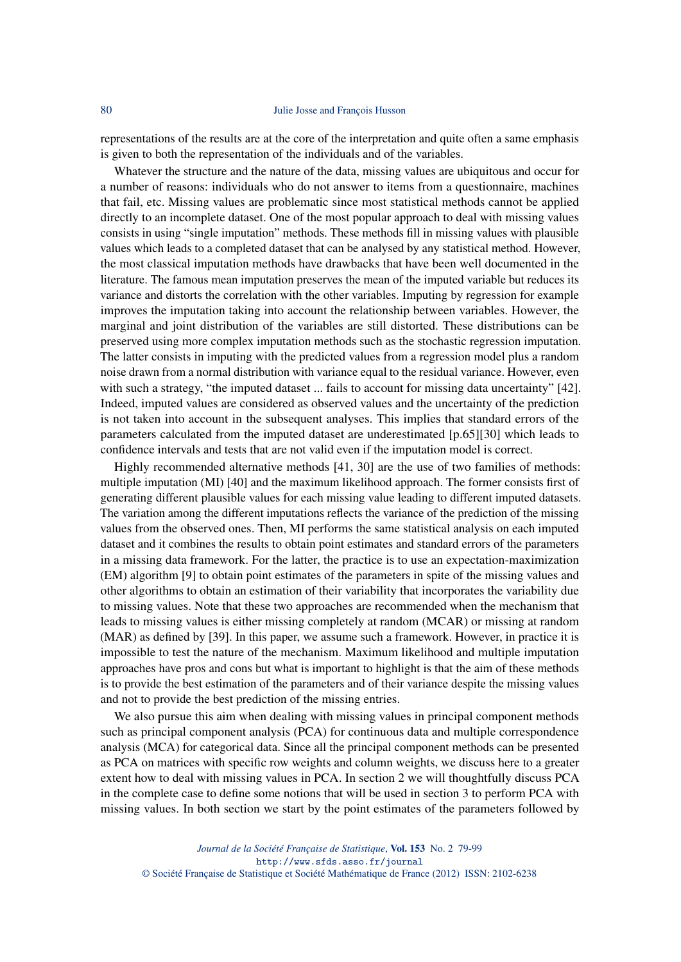#### 80 Julie Josse and François Husson

representations of the results are at the core of the interpretation and quite often a same emphasis is given to both the representation of the individuals and of the variables.

Whatever the structure and the nature of the data, missing values are ubiquitous and occur for a number of reasons: individuals who do not answer to items from a questionnaire, machines that fail, etc. Missing values are problematic since most statistical methods cannot be applied directly to an incomplete dataset. One of the most popular approach to deal with missing values consists in using "single imputation" methods. These methods fill in missing values with plausible values which leads to a completed dataset that can be analysed by any statistical method. However, the most classical imputation methods have drawbacks that have been well documented in the literature. The famous mean imputation preserves the mean of the imputed variable but reduces its variance and distorts the correlation with the other variables. Imputing by regression for example improves the imputation taking into account the relationship between variables. However, the marginal and joint distribution of the variables are still distorted. These distributions can be preserved using more complex imputation methods such as the stochastic regression imputation. The latter consists in imputing with the predicted values from a regression model plus a random noise drawn from a normal distribution with variance equal to the residual variance. However, even with such a strategy, "the imputed dataset ... fails to account for missing data uncertainty" [42]. Indeed, imputed values are considered as observed values and the uncertainty of the prediction is not taken into account in the subsequent analyses. This implies that standard errors of the parameters calculated from the imputed dataset are underestimated [p.65][30] which leads to confidence intervals and tests that are not valid even if the imputation model is correct.

Highly recommended alternative methods [41, 30] are the use of two families of methods: multiple imputation (MI) [40] and the maximum likelihood approach. The former consists first of generating different plausible values for each missing value leading to different imputed datasets. The variation among the different imputations reflects the variance of the prediction of the missing values from the observed ones. Then, MI performs the same statistical analysis on each imputed dataset and it combines the results to obtain point estimates and standard errors of the parameters in a missing data framework. For the latter, the practice is to use an expectation-maximization (EM) algorithm [9] to obtain point estimates of the parameters in spite of the missing values and other algorithms to obtain an estimation of their variability that incorporates the variability due to missing values. Note that these two approaches are recommended when the mechanism that leads to missing values is either missing completely at random (MCAR) or missing at random (MAR) as defined by [39]. In this paper, we assume such a framework. However, in practice it is impossible to test the nature of the mechanism. Maximum likelihood and multiple imputation approaches have pros and cons but what is important to highlight is that the aim of these methods is to provide the best estimation of the parameters and of their variance despite the missing values and not to provide the best prediction of the missing entries.

We also pursue this aim when dealing with missing values in principal component methods such as principal component analysis (PCA) for continuous data and multiple correspondence analysis (MCA) for categorical data. Since all the principal component methods can be presented as PCA on matrices with specific row weights and column weights, we discuss here to a greater extent how to deal with missing values in PCA. In section 2 we will thoughtfully discuss PCA in the complete case to define some notions that will be used in section 3 to perform PCA with missing values. In both section we start by the point estimates of the parameters followed by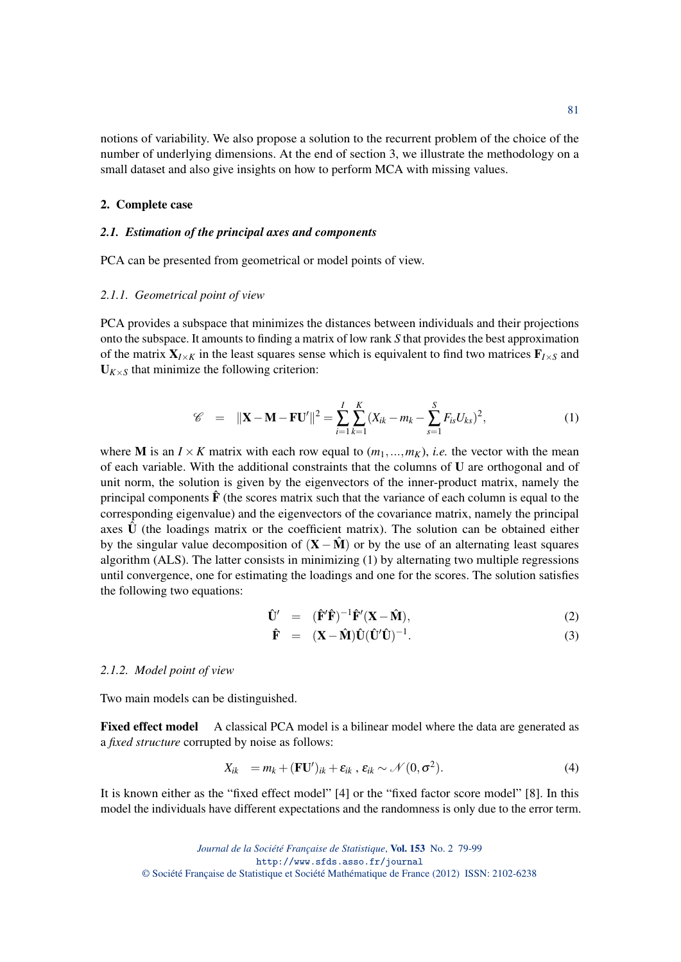notions of variability. We also propose a solution to the recurrent problem of the choice of the number of underlying dimensions. At the end of section 3, we illustrate the methodology on a small dataset and also give insights on how to perform MCA with missing values.

#### 2. Complete case

## *2.1. Estimation of the principal axes and components*

PCA can be presented from geometrical or model points of view.

## *2.1.1. Geometrical point of view*

PCA provides a subspace that minimizes the distances between individuals and their projections onto the subspace. It amounts to finding a matrix of low rank *S* that provides the best approximation of the matrix  $X_{I \times K}$  in the least squares sense which is equivalent to find two matrices  $F_{I \times S}$  and  $U_{K \times S}$  that minimize the following criterion:

$$
\mathscr{C} = ||\mathbf{X} - \mathbf{M} - \mathbf{F}\mathbf{U}'||^2 = \sum_{i=1}^{I} \sum_{k=1}^{K} (X_{ik} - m_k - \sum_{s=1}^{S} F_{is} U_{ks})^2,
$$
(1)

where **M** is an  $I \times K$  matrix with each row equal to  $(m_1, ..., m_K)$ , *i.e.* the vector with the mean of each variable. With the additional constraints that the columns of U are orthogonal and of unit norm, the solution is given by the eigenvectors of the inner-product matrix, namely the principal components  $\mathbf{\hat{F}}$  (the scores matrix such that the variance of each column is equal to the corresponding eigenvalue) and the eigenvectors of the covariance matrix, namely the principal axes  $\hat{U}$  (the loadings matrix or the coefficient matrix). The solution can be obtained either by the singular value decomposition of  $(X - \hat{M})$  or by the use of an alternating least squares algorithm (ALS). The latter consists in minimizing  $(1)$  by alternating two multiple regressions until convergence, one for estimating the loadings and one for the scores. The solution satisfies the following two equations:

$$
\hat{\mathbf{U}}' = (\hat{\mathbf{F}}'\hat{\mathbf{F}})^{-1}\hat{\mathbf{F}}'(\mathbf{X} - \hat{\mathbf{M}}), \tag{2}
$$

$$
\hat{\mathbf{F}} = (\mathbf{X} - \hat{\mathbf{M}})\hat{\mathbf{U}}(\hat{\mathbf{U}}'\hat{\mathbf{U}})^{-1}.
$$
 (3)

#### *2.1.2. Model point of view*

Two main models can be distinguished.

Fixed effect model A classical PCA model is a bilinear model where the data are generated as a *fixed structure* corrupted by noise as follows:

$$
X_{ik} = m_k + (\mathbf{F} \mathbf{U}')_{ik} + \varepsilon_{ik}, \varepsilon_{ik} \sim \mathcal{N}(0, \sigma^2).
$$
 (4)

It is known either as the "fixed effect model" [4] or the "fixed factor score model" [8]. In this model the individuals have different expectations and the randomness is only due to the error term.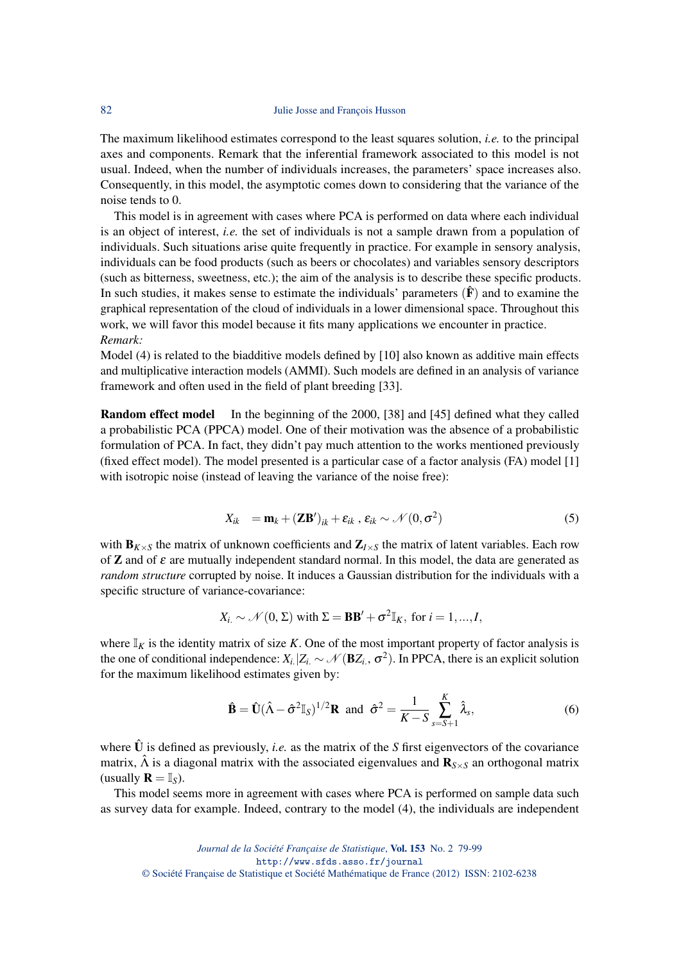#### 82 Julie Josse and François Husson

The maximum likelihood estimates correspond to the least squares solution, *i.e.* to the principal axes and components. Remark that the inferential framework associated to this model is not usual. Indeed, when the number of individuals increases, the parameters' space increases also. Consequently, in this model, the asymptotic comes down to considering that the variance of the noise tends to 0.

This model is in agreement with cases where PCA is performed on data where each individual is an object of interest, *i.e.* the set of individuals is not a sample drawn from a population of individuals. Such situations arise quite frequently in practice. For example in sensory analysis, individuals can be food products (such as beers or chocolates) and variables sensory descriptors (such as bitterness, sweetness, etc.); the aim of the analysis is to describe these specific products. In such studies, it makes sense to estimate the individuals' parameters  $(\hat{F})$  and to examine the graphical representation of the cloud of individuals in a lower dimensional space. Throughout this work, we will favor this model because it fits many applications we encounter in practice. *Remark:*

Model (4) is related to the biadditive models defined by [10] also known as additive main effects and multiplicative interaction models (AMMI). Such models are defined in an analysis of variance framework and often used in the field of plant breeding [33].

Random effect model In the beginning of the 2000, [38] and [45] defined what they called a probabilistic PCA (PPCA) model. One of their motivation was the absence of a probabilistic formulation of PCA. In fact, they didn't pay much attention to the works mentioned previously (fixed effect model). The model presented is a particular case of a factor analysis (FA) model [1] with isotropic noise (instead of leaving the variance of the noise free):

$$
X_{ik} = \mathbf{m}_k + (\mathbf{Z}\mathbf{B}')_{ik} + \varepsilon_{ik}, \varepsilon_{ik} \sim \mathcal{N}(0, \sigma^2)
$$
 (5)

with  $\mathbf{B}_{K\times S}$  the matrix of unknown coefficients and  $\mathbf{Z}_{I\times S}$  the matrix of latent variables. Each row of **Z** and of  $\varepsilon$  are mutually independent standard normal. In this model, the data are generated as *random structure* corrupted by noise. It induces a Gaussian distribution for the individuals with a specific structure of variance-covariance:

$$
X_{i.} \sim \mathcal{N}(0, \Sigma)
$$
 with  $\Sigma = BB' + \sigma^2 \mathbb{I}_K$ , for  $i = 1, ..., I$ ,

where  $\mathbb{I}_K$  is the identity matrix of size *K*. One of the most important property of factor analysis is the one of conditional independence:  $X_i$  | $Z_i \sim \mathcal{N}(\mathbf{B}Z_i, \sigma^2)$ . In PPCA, there is an explicit solution for the maximum likelihood estimates given by:

$$
\hat{\mathbf{B}} = \hat{\mathbf{U}}(\hat{\Lambda} - \hat{\sigma}^2 \mathbb{I}_S)^{1/2} \mathbf{R} \text{ and } \hat{\sigma}^2 = \frac{1}{K - S} \sum_{s = S + 1}^{K} \hat{\lambda}_s,
$$
\n(6)

where  $\hat{U}$  is defined as previously, *i.e.* as the matrix of the *S* first eigenvectors of the covariance matrix,  $\hat{\Lambda}$  is a diagonal matrix with the associated eigenvalues and  $\mathbf{R}_{S\times S}$  an orthogonal matrix (usually  $\mathbf{R} = \mathbb{I}_S$ ).

This model seems more in agreement with cases where PCA is performed on sample data such as survey data for example. Indeed, contrary to the model (4), the individuals are independent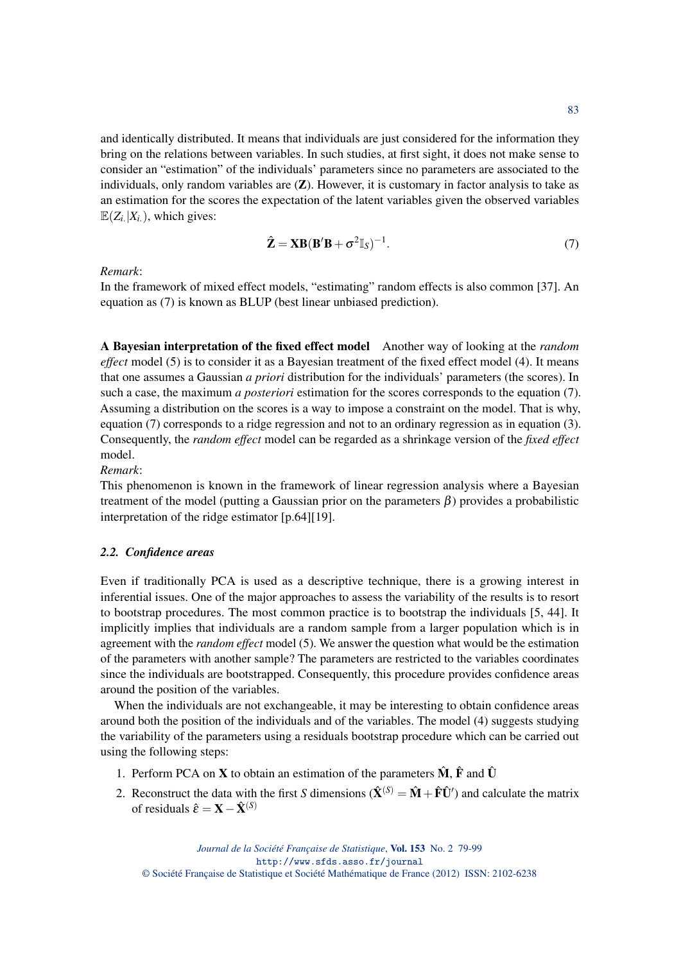and identically distributed. It means that individuals are just considered for the information they bring on the relations between variables. In such studies, at first sight, it does not make sense to consider an "estimation" of the individuals' parameters since no parameters are associated to the individuals, only random variables are  $(Z)$ . However, it is customary in factor analysis to take as an estimation for the scores the expectation of the latent variables given the observed variables  $\mathbb{E}(Z_i | X_i)$ , which gives:

$$
\hat{\mathbf{Z}} = \mathbf{X}\mathbf{B}(\mathbf{B}'\mathbf{B} + \sigma^2 \mathbb{I}_S)^{-1}.
$$
\n(7)

*Remark*:

In the framework of mixed effect models, "estimating" random effects is also common [37]. An equation as (7) is known as BLUP (best linear unbiased prediction).

A Bayesian interpretation of the fixed effect model Another way of looking at the *random effect* model (5) is to consider it as a Bayesian treatment of the fixed effect model (4). It means that one assumes a Gaussian *a priori* distribution for the individuals' parameters (the scores). In such a case, the maximum *a posteriori* estimation for the scores corresponds to the equation (7). Assuming a distribution on the scores is a way to impose a constraint on the model. That is why, equation (7) corresponds to a ridge regression and not to an ordinary regression as in equation (3). Consequently, the *random effect* model can be regarded as a shrinkage version of the *fixed effect* model.

*Remark*:

This phenomenon is known in the framework of linear regression analysis where a Bayesian treatment of the model (putting a Gaussian prior on the parameters  $\beta$ ) provides a probabilistic interpretation of the ridge estimator [p.64][19].

## *2.2. Confidence areas*

Even if traditionally PCA is used as a descriptive technique, there is a growing interest in inferential issues. One of the major approaches to assess the variability of the results is to resort to bootstrap procedures. The most common practice is to bootstrap the individuals [5, 44]. It implicitly implies that individuals are a random sample from a larger population which is in agreement with the *random effect* model (5). We answer the question what would be the estimation of the parameters with another sample? The parameters are restricted to the variables coordinates since the individuals are bootstrapped. Consequently, this procedure provides confidence areas around the position of the variables.

When the individuals are not exchangeable, it may be interesting to obtain confidence areas around both the position of the individuals and of the variables. The model (4) suggests studying the variability of the parameters using a residuals bootstrap procedure which can be carried out using the following steps:

- 1. Perform PCA on **X** to obtain an estimation of the parameters  $\hat{M}$ ,  $\hat{F}$  and  $\hat{U}$
- 2. Reconstruct the data with the first *S* dimensions  $(\hat{\mathbf{X}}^{(S)} = \hat{\mathbf{M}} + \hat{\mathbf{F}} \hat{\mathbf{U}}')$  and calculate the matrix of residuals  $\hat{\varepsilon} = \mathbf{X} - \hat{\mathbf{X}}^{(S)}$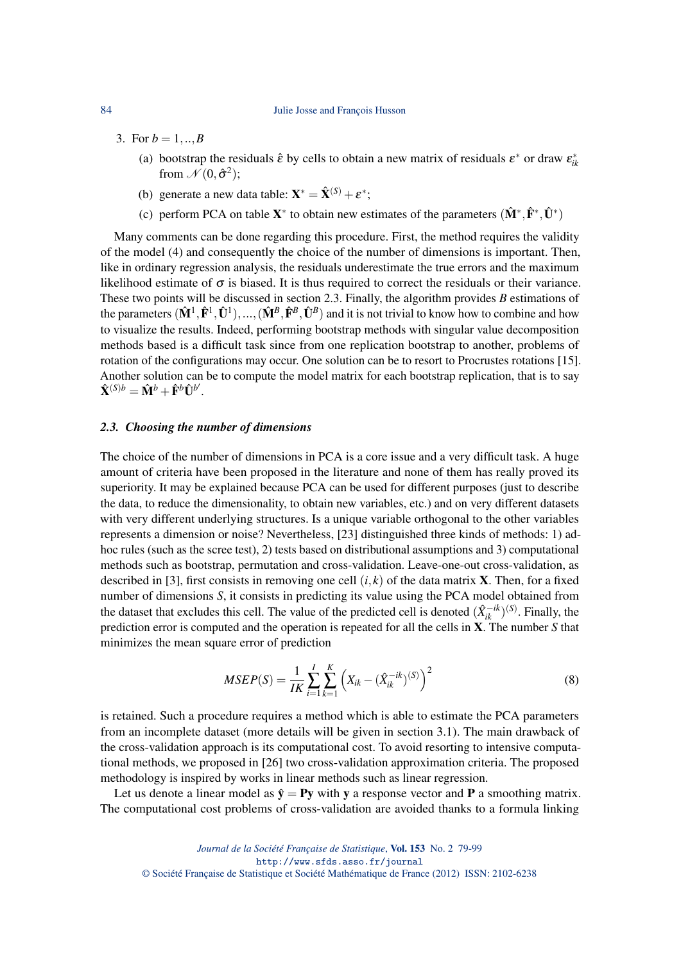#### 84 Julie Josse and François Husson

- 3. For  $b = 1, ..., B$ 
	- (a) bootstrap the residuals  $\hat{\varepsilon}$  by cells to obtain a new matrix of residuals  $\varepsilon^*$  or draw  $\varepsilon^*_{ik}$ from  $\mathcal{N}(0, \hat{\sigma}^2)$ ;
	- (b) generate a new data table:  $\mathbf{X}^* = \hat{\mathbf{X}}^{(S)} + \boldsymbol{\varepsilon}^*$ ;
	- (c) perform PCA on table  $X^*$  to obtain new estimates of the parameters  $(\hat{M}^*, \hat{F}^*, \hat{U}^*)$

Many comments can be done regarding this procedure. First, the method requires the validity of the model (4) and consequently the choice of the number of dimensions is important. Then, like in ordinary regression analysis, the residuals underestimate the true errors and the maximum likelihood estimate of  $\sigma$  is biased. It is thus required to correct the residuals or their variance. These two points will be discussed in section 2.3. Finally, the algorithm provides *B* estimations of the parameters  $(\hat{M}^1, \hat{F}^1, \hat{U}^1), ..., (\hat{M}^B, \hat{F}^B, \hat{U}^B)$  and it is not trivial to know how to combine and how to visualize the results. Indeed, performing bootstrap methods with singular value decomposition methods based is a difficult task since from one replication bootstrap to another, problems of rotation of the configurations may occur. One solution can be to resort to Procrustes rotations [15]. Another solution can be to compute the model matrix for each bootstrap replication, that is to say  $\hat{\mathbf{X}}^{(S)b} = \hat{\mathbf{M}}^b + \hat{\mathbf{F}}^b \hat{\mathbf{U}}^{b'}$ .

#### *2.3. Choosing the number of dimensions*

The choice of the number of dimensions in PCA is a core issue and a very difficult task. A huge amount of criteria have been proposed in the literature and none of them has really proved its superiority. It may be explained because PCA can be used for different purposes (just to describe the data, to reduce the dimensionality, to obtain new variables, etc.) and on very different datasets with very different underlying structures. Is a unique variable orthogonal to the other variables represents a dimension or noise? Nevertheless, [23] distinguished three kinds of methods: 1) adhoc rules (such as the scree test), 2) tests based on distributional assumptions and 3) computational methods such as bootstrap, permutation and cross-validation. Leave-one-out cross-validation, as described in [3], first consists in removing one cell  $(i, k)$  of the data matrix **X**. Then, for a fixed number of dimensions *S*, it consists in predicting its value using the PCA model obtained from the dataset that excludes this cell. The value of the predicted cell is denoted  $(\hat{X}_{ik}^{-ik})^{(S)}$ . Finally, the prediction error is computed and the operation is repeated for all the cells in X. The number *S* that minimizes the mean square error of prediction

$$
MSEP(S) = \frac{1}{IK} \sum_{i=1}^{I} \sum_{k=1}^{K} \left( X_{ik} - (\hat{X}_{ik}^{-ik})^{(S)} \right)^2
$$
\n(8)

is retained. Such a procedure requires a method which is able to estimate the PCA parameters from an incomplete dataset (more details will be given in section 3.1). The main drawback of the cross-validation approach is its computational cost. To avoid resorting to intensive computational methods, we proposed in [26] two cross-validation approximation criteria. The proposed methodology is inspired by works in linear methods such as linear regression.

Let us denote a linear model as  $\hat{y} = Py$  with y a response vector and P a smoothing matrix. The computational cost problems of cross-validation are avoided thanks to a formula linking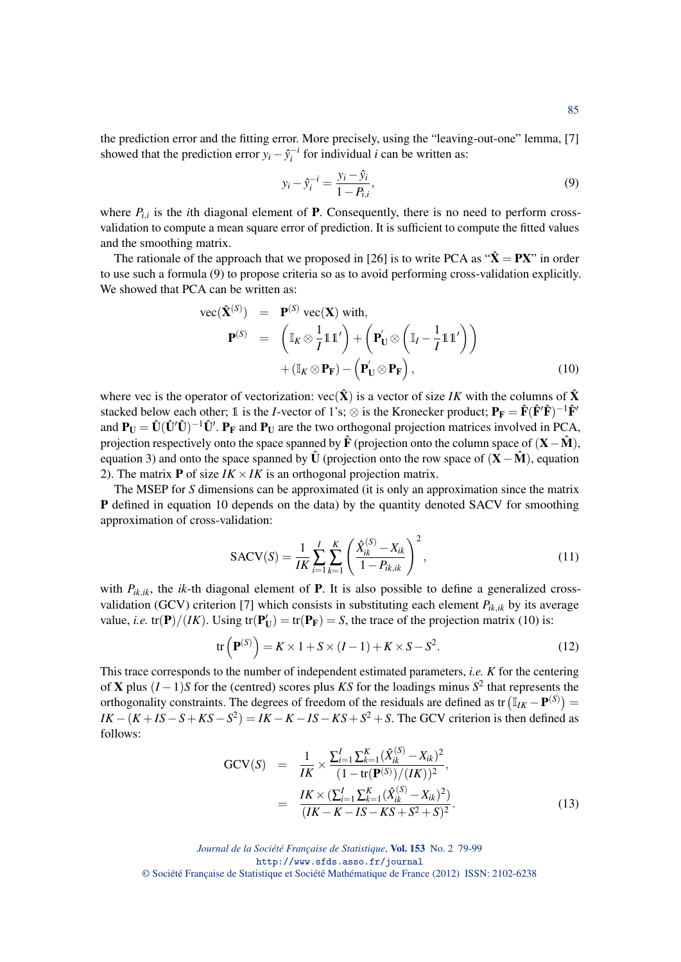the prediction error and the fitting error. More precisely, using the "leaving-out-one" lemma, [7] showed that the prediction error  $y_i - \hat{y}_i^{-i}$  for individual *i* can be written as:

$$
y_i - \hat{y}_i^{-i} = \frac{y_i - \hat{y}_i}{1 - P_{i,i}},
$$
\n(9)

where  $P_{i,i}$  is the *i*th diagonal element of **P**. Consequently, there is no need to perform crossvalidation to compute a mean square error of prediction. It is sufficient to compute the fitted values and the smoothing matrix.

The rationale of the approach that we proposed in [26] is to write PCA as " $\hat{\mathbf{X}} = \mathbf{PX}$ " in order to use such a formula (9) to propose criteria so as to avoid performing cross-validation explicitly. We showed that PCA can be written as:

$$
\text{vec}(\hat{\mathbf{X}}^{(S)}) = \mathbf{P}^{(S)} \text{vec}(\mathbf{X}) \text{ with,}
$$
\n
$$
\mathbf{P}^{(S)} = \begin{pmatrix} \mathbb{I}_K \otimes \frac{1}{I} \mathbb{1} \mathbb{1}' \\ \end{pmatrix} + \begin{pmatrix} \mathbf{P}'_{\mathbf{U}} \otimes \left( \mathbb{I}_I - \frac{1}{I} \mathbb{1} \mathbb{1}' \right) \\ + (\mathbb{I}_K \otimes \mathbf{P}_{\mathbf{F}}) - \left( \mathbf{P}'_{\mathbf{U}} \otimes \mathbf{P}_{\mathbf{F}} \right), \end{pmatrix} \tag{10}
$$

where vec is the operator of vectorization:  $\text{vec}(\hat{\mathbf{X}})$  is a vector of size *IK* with the columns of  $\hat{\mathbf{X}}$ stacked below each other; 1 is the *I*-vector of 1's;  $\otimes$  is the Kronecker product;  $P_F = \hat{F}(\hat{F}'\hat{F})^{-1}\hat{F}'$ and  $P_U = \hat{U}(\hat{U}'\hat{U})^{-1}\hat{U}'$ .  $P_F$  and  $P_U$  are the two orthogonal projection matrices involved in PCA, projection respectively onto the space spanned by  $\hat{F}$  (projection onto the column space of  $(X-\hat{M})$ ), equation 3) and onto the space spanned by  $\hat{U}$  (projection onto the row space of  $(X-\hat{M})$ , equation 2). The matrix **P** of size  $IK \times IK$  is an orthogonal projection matrix.

The MSEP for *S* dimensions can be approximated (it is only an approximation since the matrix P defined in equation 10 depends on the data) by the quantity denoted SACV for smoothing approximation of cross-validation:

$$
SACV(S) = \frac{1}{IK} \sum_{i=1}^{I} \sum_{k=1}^{K} \left( \frac{\hat{X}_{ik}^{(S)} - X_{ik}}{1 - P_{ik,ik}} \right)^2,
$$
\n(11)

with  $P_{ik,ik}$ , the *ik*-th diagonal element of **P**. It is also possible to define a generalized crossvalidation (GCV) criterion [7] which consists in substituting each element  $P_{ik,ik}$  by its average value, *i.e.* tr(P)/(*IK*). Using tr(P<sub>U</sub>) = tr(P<sub>F</sub>) = *S*, the trace of the projection matrix (10) is:

$$
\operatorname{tr}\left(\mathbf{P}^{(S)}\right) = K \times 1 + S \times (I - 1) + K \times S - S^2. \tag{12}
$$

This trace corresponds to the number of independent estimated parameters, *i.e. K* for the centering of X plus (*I* −1)*S* for the (centred) scores plus *KS* for the loadings minus *S* 2 that represents the orthogonality constraints. The degrees of freedom of the residuals are defined as tr  $(\mathbb{I}_{IK} - \mathbf{P}^{(S)})$  =  $IK - (K + IS - S + KS - S^2) = IK - K - IS - KS + S^2 + S$ . The GCV criterion is then defined as follows:

$$
GCV(S) = \frac{1}{IK} \times \frac{\sum_{i=1}^{I} \sum_{k=1}^{K} (\hat{X}_{ik}^{(S)} - X_{ik})^2}{(1 - tr(\mathbf{P}^{(S)})/(IK))^2},
$$
  
= 
$$
\frac{IK \times (\sum_{i=1}^{I} \sum_{k=1}^{K} (\hat{X}_{ik}^{(S)} - X_{ik})^2)}{(IK - K - IS - KS + S^2 + S)^2}.
$$
 (13)

*Journal de la Société Française de Statistique*, Vol. 153 No. 2 79-99 http://www.sfds.asso.fr/journal © Société Française de Statistique et Société Mathématique de France (2012) ISSN: 2102-6238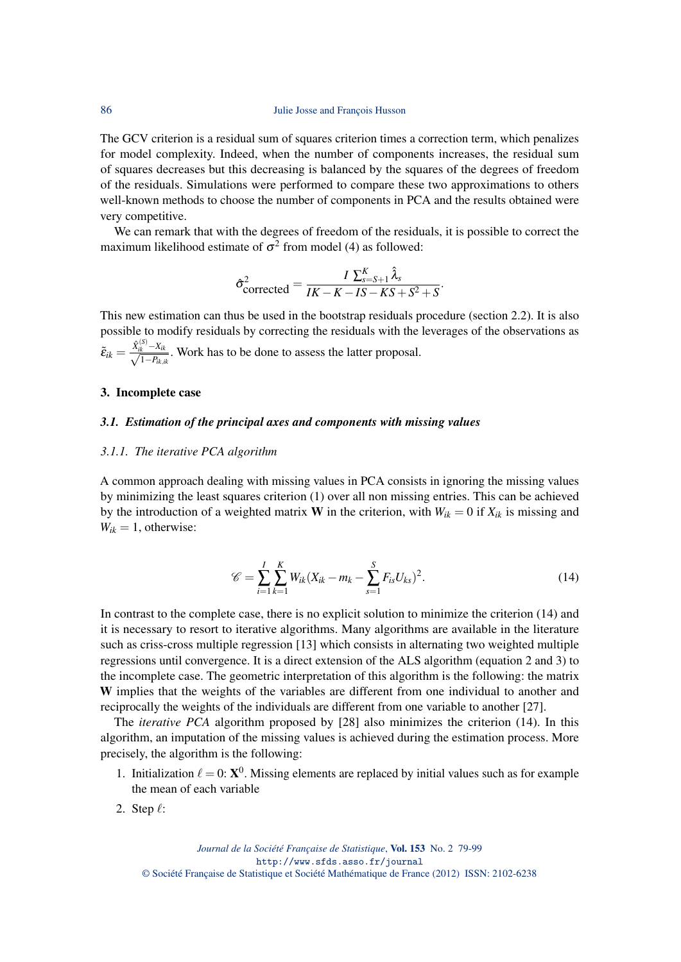The GCV criterion is a residual sum of squares criterion times a correction term, which penalizes for model complexity. Indeed, when the number of components increases, the residual sum of squares decreases but this decreasing is balanced by the squares of the degrees of freedom of the residuals. Simulations were performed to compare these two approximations to others well-known methods to choose the number of components in PCA and the results obtained were very competitive.

We can remark that with the degrees of freedom of the residuals, it is possible to correct the maximum likelihood estimate of  $\sigma^2$  from model (4) as followed:

$$
\hat{\sigma}_{\text{corrected}}^2 = \frac{I \sum_{s=S+1}^{K} \hat{\lambda}_s}{IK - K - IS - KS + S^2 + S}.
$$

This new estimation can thus be used in the bootstrap residuals procedure (section 2.2). It is also possible to modify residuals by correcting the residuals with the leverages of the observations as

 $\tilde{\varepsilon}_{ik} = \frac{\hat{X}_{ik}^{(S)} - X_{ik}}{\sqrt{1 - P_{ik,ik}}}.$  Work has to be done to assess the latter proposal.

## 3. Incomplete case

## *3.1. Estimation of the principal axes and components with missing values*

#### *3.1.1. The iterative PCA algorithm*

A common approach dealing with missing values in PCA consists in ignoring the missing values by minimizing the least squares criterion (1) over all non missing entries. This can be achieved by the introduction of a weighted matrix **W** in the criterion, with  $W_{ik} = 0$  if  $X_{ik}$  is missing and  $W_{ik} = 1$ , otherwise:

$$
\mathscr{C} = \sum_{i=1}^{I} \sum_{k=1}^{K} W_{ik} (X_{ik} - m_k - \sum_{s=1}^{S} F_{is} U_{ks})^2.
$$
 (14)

In contrast to the complete case, there is no explicit solution to minimize the criterion (14) and it is necessary to resort to iterative algorithms. Many algorithms are available in the literature such as criss-cross multiple regression [13] which consists in alternating two weighted multiple regressions until convergence. It is a direct extension of the ALS algorithm (equation 2 and 3) to the incomplete case. The geometric interpretation of this algorithm is the following: the matrix W implies that the weights of the variables are different from one individual to another and reciprocally the weights of the individuals are different from one variable to another [27].

The *iterative PCA* algorithm proposed by [28] also minimizes the criterion (14). In this algorithm, an imputation of the missing values is achieved during the estimation process. More precisely, the algorithm is the following:

- 1. Initialization  $\ell = 0$ :  $\mathbf{X}^0$ . Missing elements are replaced by initial values such as for example the mean of each variable
- 2. Step  $\ell$ :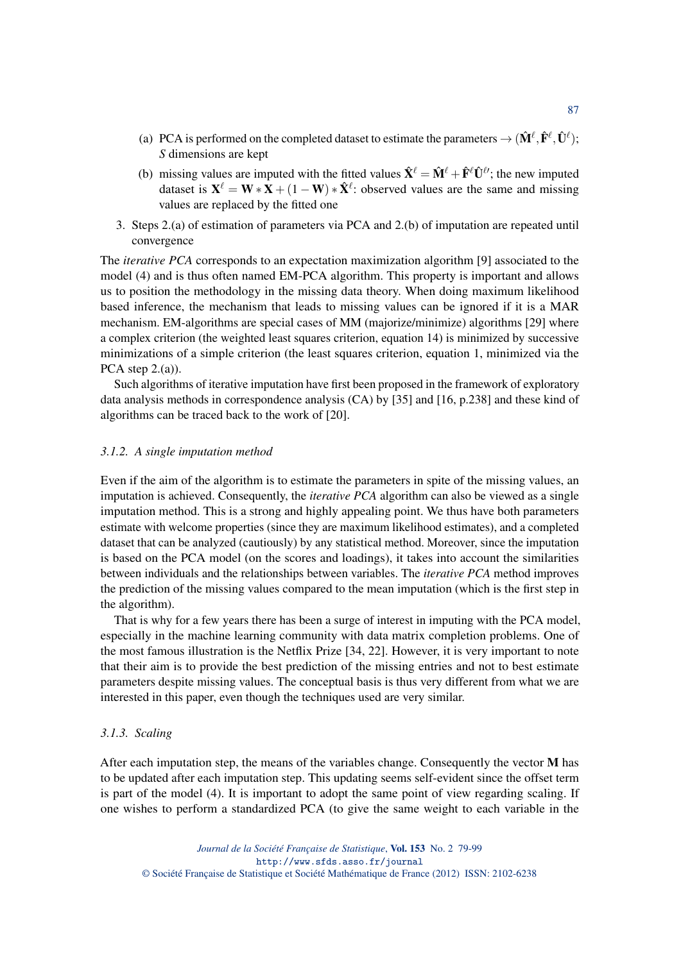- (a) PCA is performed on the completed dataset to estimate the parameters  $\to (\hat{\mathbf{M}}^\ell, \hat{\mathbf{F}}^\ell, \hat{\mathbf{U}}^\ell);$ *S* dimensions are kept
- (b) missing values are imputed with the fitted values  $\hat{\mathbf{X}}^{\ell} = \hat{\mathbf{M}}^{\ell} + \hat{\mathbf{F}}^{\ell} \hat{\mathbf{U}}^{\ell}$ ; the new imputed dataset is  $X^{\ell} = W * X + (1 - W) * \hat{X}^{\ell}$ : observed values are the same and missing values are replaced by the fitted one
- 3. Steps 2.(a) of estimation of parameters via PCA and 2.(b) of imputation are repeated until convergence

The *iterative PCA* corresponds to an expectation maximization algorithm [9] associated to the model (4) and is thus often named EM-PCA algorithm. This property is important and allows us to position the methodology in the missing data theory. When doing maximum likelihood based inference, the mechanism that leads to missing values can be ignored if it is a MAR mechanism. EM-algorithms are special cases of MM (majorize/minimize) algorithms [29] where a complex criterion (the weighted least squares criterion, equation 14) is minimized by successive minimizations of a simple criterion (the least squares criterion, equation 1, minimized via the PCA step  $2(a)$ ).

Such algorithms of iterative imputation have first been proposed in the framework of exploratory data analysis methods in correspondence analysis (CA) by [35] and [16, p.238] and these kind of algorithms can be traced back to the work of [20].

#### *3.1.2. A single imputation method*

Even if the aim of the algorithm is to estimate the parameters in spite of the missing values, an imputation is achieved. Consequently, the *iterative PCA* algorithm can also be viewed as a single imputation method. This is a strong and highly appealing point. We thus have both parameters estimate with welcome properties (since they are maximum likelihood estimates), and a completed dataset that can be analyzed (cautiously) by any statistical method. Moreover, since the imputation is based on the PCA model (on the scores and loadings), it takes into account the similarities between individuals and the relationships between variables. The *iterative PCA* method improves the prediction of the missing values compared to the mean imputation (which is the first step in the algorithm).

That is why for a few years there has been a surge of interest in imputing with the PCA model, especially in the machine learning community with data matrix completion problems. One of the most famous illustration is the Netflix Prize [34, 22]. However, it is very important to note that their aim is to provide the best prediction of the missing entries and not to best estimate parameters despite missing values. The conceptual basis is thus very different from what we are interested in this paper, even though the techniques used are very similar.

#### *3.1.3. Scaling*

After each imputation step, the means of the variables change. Consequently the vector M has to be updated after each imputation step. This updating seems self-evident since the offset term is part of the model (4). It is important to adopt the same point of view regarding scaling. If one wishes to perform a standardized PCA (to give the same weight to each variable in the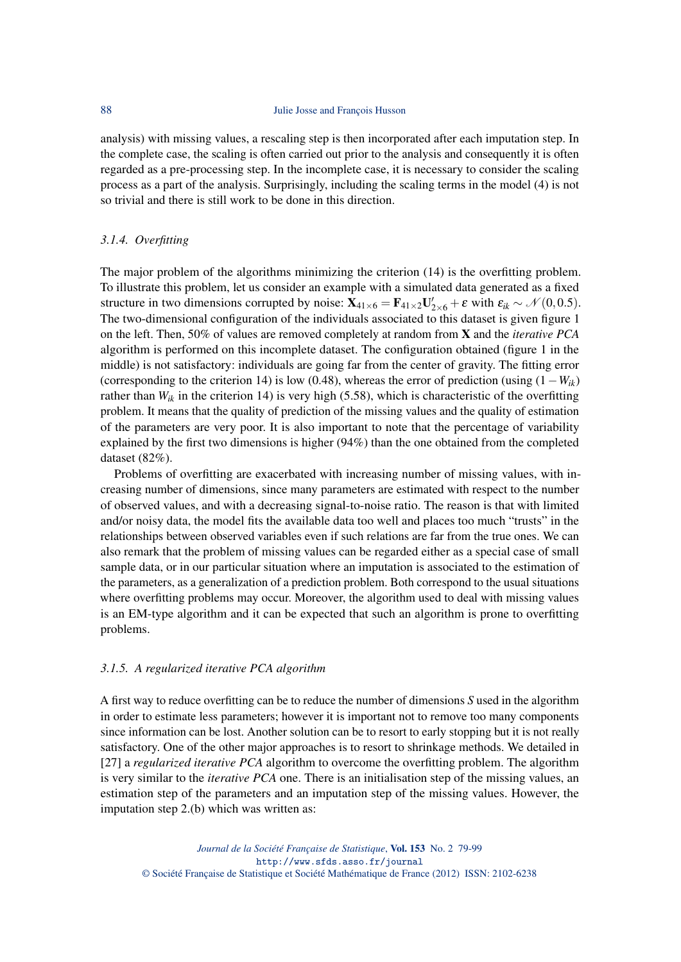analysis) with missing values, a rescaling step is then incorporated after each imputation step. In the complete case, the scaling is often carried out prior to the analysis and consequently it is often regarded as a pre-processing step. In the incomplete case, it is necessary to consider the scaling process as a part of the analysis. Surprisingly, including the scaling terms in the model (4) is not so trivial and there is still work to be done in this direction.

## *3.1.4. Overfitting*

The major problem of the algorithms minimizing the criterion (14) is the overfitting problem. To illustrate this problem, let us consider an example with a simulated data generated as a fixed structure in two dimensions corrupted by noise:  $\mathbf{X}_{41\times6} = \mathbf{F}_{41\times2}\mathbf{U}_{2\times6}' + \varepsilon$  with  $\varepsilon_{ik} \sim \mathcal{N}(0, 0.5)$ . The two-dimensional configuration of the individuals associated to this dataset is given figure 1 on the left. Then, 50% of values are removed completely at random from X and the *iterative PCA* algorithm is performed on this incomplete dataset. The configuration obtained (figure 1 in the middle) is not satisfactory: individuals are going far from the center of gravity. The fitting error (corresponding to the criterion 14) is low (0.48), whereas the error of prediction (using (1−*Wik*) rather than  $W_{ik}$  in the criterion 14) is very high (5.58), which is characteristic of the overfitting problem. It means that the quality of prediction of the missing values and the quality of estimation of the parameters are very poor. It is also important to note that the percentage of variability explained by the first two dimensions is higher (94%) than the one obtained from the completed dataset (82%).

Problems of overfitting are exacerbated with increasing number of missing values, with increasing number of dimensions, since many parameters are estimated with respect to the number of observed values, and with a decreasing signal-to-noise ratio. The reason is that with limited and/or noisy data, the model fits the available data too well and places too much "trusts" in the relationships between observed variables even if such relations are far from the true ones. We can also remark that the problem of missing values can be regarded either as a special case of small sample data, or in our particular situation where an imputation is associated to the estimation of the parameters, as a generalization of a prediction problem. Both correspond to the usual situations where overfitting problems may occur. Moreover, the algorithm used to deal with missing values is an EM-type algorithm and it can be expected that such an algorithm is prone to overfitting problems.

## *3.1.5. A regularized iterative PCA algorithm*

A first way to reduce overfitting can be to reduce the number of dimensions *S* used in the algorithm in order to estimate less parameters; however it is important not to remove too many components since information can be lost. Another solution can be to resort to early stopping but it is not really satisfactory. One of the other major approaches is to resort to shrinkage methods. We detailed in [27] a *regularized iterative PCA* algorithm to overcome the overfitting problem. The algorithm is very similar to the *iterative PCA* one. There is an initialisation step of the missing values, an estimation step of the parameters and an imputation step of the missing values. However, the imputation step 2.(b) which was written as: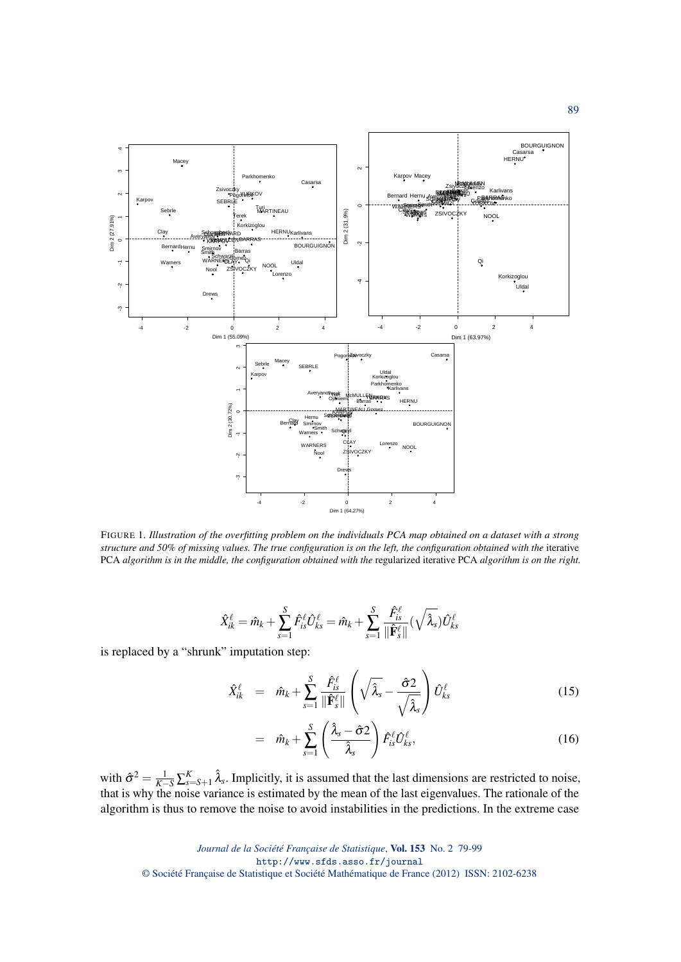

FIGURE 1*. Illustration of the overfitting problem on the individuals PCA map obtained on a dataset with a strong structure and 50% of missing values. The true configuration is on the left, the configuration obtained with the* iterative PCA *algorithm is in the middle, the configuration obtained with the* regularized iterative PCA *algorithm is on the right.*

$$
\hat{X}_{ik}^{\ell} = \hat{m}_k + \sum_{s=1}^{S} \hat{F}_{is}^{\ell} \hat{U}_{ks}^{\ell} = \hat{m}_k + \sum_{s=1}^{S} \frac{\hat{F}_{is}^{\ell}}{\|\hat{\mathbf{F}}_{s}^{\ell}\|} (\sqrt{\hat{\lambda}_s}) \hat{U}_{ks}^{\ell}
$$

is replaced by a "shrunk" imputation step:

$$
\hat{X}_{ik}^{\ell} = \hat{m}_k + \sum_{s=1}^{S} \frac{\hat{F}_{is}^{\ell}}{\|\hat{\mathbf{F}}_{s}^{\ell}\|} \left(\sqrt{\hat{\lambda}_s} - \frac{\hat{\sigma}2}{\sqrt{\hat{\lambda}_s}}\right) \hat{U}_{ks}^{\ell} \tag{15}
$$

$$
= \hat{m}_k + \sum_{s=1}^S \left( \frac{\hat{\lambda}_s - \hat{\sigma} 2}{\hat{\lambda}_s} \right) \hat{F}_{is}^{\ell} \hat{U}_{ks}^{\ell}, \tag{16}
$$

with  $\hat{\sigma}^2 = \frac{1}{K-S} \sum_{s=S+1}^K \hat{\lambda}_s$ . Implicitly, it is assumed that the last dimensions are restricted to noise, that is why the noise variance is estimated by the mean of the last eigenvalues. The rationale of the algorithm is thus to remove the noise to avoid instabilities in the predictions. In the extreme case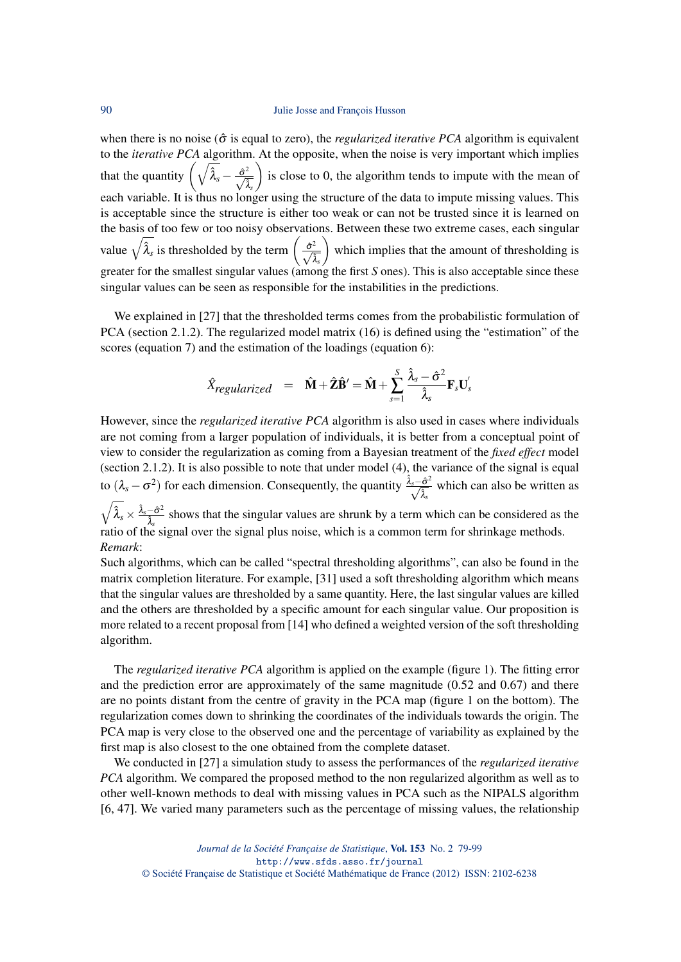when there is no noise ( $\hat{\sigma}$  is equal to zero), the *regularized iterative PCA* algorithm is equivalent to the *iterative PCA* algorithm. At the opposite, when the noise is very important which implies that the quantity  $\left(\sqrt{\hat{\lambda}_s} - \frac{\hat{\sigma}^2}{\sqrt{\hat{\lambda}_s}}\right)$  is close to 0, the algorithm tends to impute with the mean of each variable. It is thus no longer using the structure of the data to impute missing values. This is acceptable since the structure is either too weak or can not be trusted since it is learned on the basis of too few or too noisy observations. Between these two extreme cases, each singular value  $\sqrt{\hat{\lambda}_s}$  is thresholded by the term  $\left(\frac{\hat{\sigma}^2}{\sqrt{\hat{\lambda}_s}}\right)$  which implies that the amount of thresholding is greater for the smallest singular values (among the first *S* ones). This is also acceptable since these singular values can be seen as responsible for the instabilities in the predictions.

We explained in [27] that the thresholded terms comes from the probabilistic formulation of PCA (section 2.1.2). The regularized model matrix (16) is defined using the "estimation" of the scores (equation 7) and the estimation of the loadings (equation 6):

$$
\hat{X}_{regularized} = \hat{\mathbf{M}} + \hat{\mathbf{Z}} \hat{\mathbf{B}}' = \hat{\mathbf{M}} + \sum_{s=1}^{S} \frac{\hat{\lambda}_s - \hat{\sigma}^2}{\hat{\lambda}_s} \mathbf{F}_s \mathbf{U}_s'
$$

However, since the *regularized iterative PCA* algorithm is also used in cases where individuals are not coming from a larger population of individuals, it is better from a conceptual point of view to consider the regularization as coming from a Bayesian treatment of the *fixed effect* model (section 2.1.2). It is also possible to note that under model (4), the variance of the signal is equal to  $(\lambda_s - \sigma^2)$  for each dimension. Consequently, the quantity  $\frac{\hat{\lambda}_s - \hat{\sigma}^2}{\sqrt{\hat{\lambda}_s}}$  which can also be written as  $\sqrt{\hat{\lambda}_s}\times \frac{\hat{\lambda}_s-\hat{\sigma}^2}{\hat{\mathfrak{z}}}$  $\frac{-\sigma^2}{\lambda_s}$  shows that the singular values are shrunk by a term which can be considered as the ratio of the signal over the signal plus noise, which is a common term for shrinkage methods.

*Remark*:

Such algorithms, which can be called "spectral thresholding algorithms", can also be found in the matrix completion literature. For example, [31] used a soft thresholding algorithm which means that the singular values are thresholded by a same quantity. Here, the last singular values are killed and the others are thresholded by a specific amount for each singular value. Our proposition is more related to a recent proposal from [14] who defined a weighted version of the soft thresholding algorithm.

The *regularized iterative PCA* algorithm is applied on the example (figure 1). The fitting error and the prediction error are approximately of the same magnitude  $(0.52 \text{ and } 0.67)$  and there are no points distant from the centre of gravity in the PCA map (figure 1 on the bottom). The regularization comes down to shrinking the coordinates of the individuals towards the origin. The PCA map is very close to the observed one and the percentage of variability as explained by the first map is also closest to the one obtained from the complete dataset.

We conducted in [27] a simulation study to assess the performances of the *regularized iterative PCA* algorithm. We compared the proposed method to the non regularized algorithm as well as to other well-known methods to deal with missing values in PCA such as the NIPALS algorithm [6, 47]. We varied many parameters such as the percentage of missing values, the relationship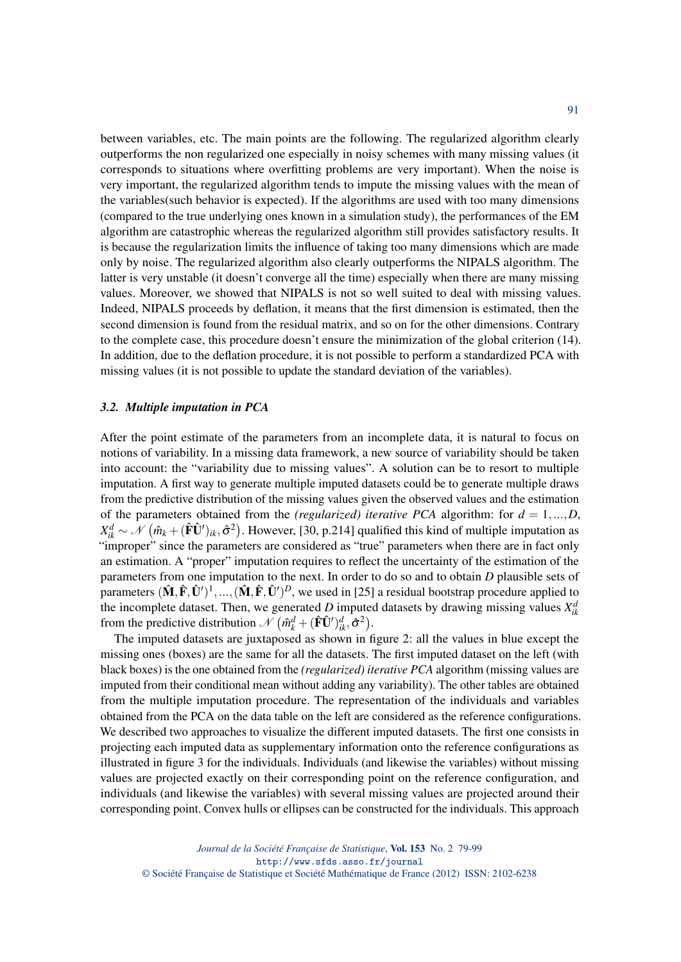between variables, etc. The main points are the following. The regularized algorithm clearly outperforms the non regularized one especially in noisy schemes with many missing values (it corresponds to situations where overfitting problems are very important). When the noise is very important, the regularized algorithm tends to impute the missing values with the mean of the variables(such behavior is expected). If the algorithms are used with too many dimensions (compared to the true underlying ones known in a simulation study), the performances of the EM algorithm are catastrophic whereas the regularized algorithm still provides satisfactory results. It is because the regularization limits the influence of taking too many dimensions which are made only by noise. The regularized algorithm also clearly outperforms the NIPALS algorithm. The latter is very unstable (it doesn't converge all the time) especially when there are many missing values. Moreover, we showed that NIPALS is not so well suited to deal with missing values. Indeed, NIPALS proceeds by deflation, it means that the first dimension is estimated, then the second dimension is found from the residual matrix, and so on for the other dimensions. Contrary to the complete case, this procedure doesn't ensure the minimization of the global criterion (14). In addition, due to the deflation procedure, it is not possible to perform a standardized PCA with missing values (it is not possible to update the standard deviation of the variables).

#### *3.2. Multiple imputation in PCA*

After the point estimate of the parameters from an incomplete data, it is natural to focus on notions of variability. In a missing data framework, a new source of variability should be taken into account: the "variability due to missing values". A solution can be to resort to multiple imputation. A first way to generate multiple imputed datasets could be to generate multiple draws from the predictive distribution of the missing values given the observed values and the estimation of the parameters obtained from the *(regularized) iterative PCA* algorithm: for  $d = 1,...,D$ ,  $X_{ik}^d \sim \mathcal{N}(\hat{m}_k + (\hat{F}\hat{U}')_{ik}, \hat{\sigma}^2)$ . However, [30, p.214] qualified this kind of multiple imputation as "improper" since the parameters are considered as "true" parameters when there are in fact only an estimation. A "proper" imputation requires to reflect the uncertainty of the estimation of the parameters from one imputation to the next. In order to do so and to obtain *D* plausible sets of parameters  $(\hat{M}, \hat{F}, \hat{U}')^1, ..., (\hat{M}, \hat{F}, \hat{U}')^D$ , we used in [25] a residual bootstrap procedure applied to the incomplete dataset. Then, we generated *D* imputed datasets by drawing missing values  $X_{ik}^d$ from the predictive distribution  $\mathcal{N} \left( \hat{m}_k^d + (\hat{F}\hat{U}')_{ik}^d, \hat{\sigma}^2 \right)$ .

The imputed datasets are juxtaposed as shown in figure 2: all the values in blue except the missing ones (boxes) are the same for all the datasets. The first imputed dataset on the left (with black boxes) is the one obtained from the *(regularized) iterative PCA* algorithm (missing values are imputed from their conditional mean without adding any variability). The other tables are obtained from the multiple imputation procedure. The representation of the individuals and variables obtained from the PCA on the data table on the left are considered as the reference configurations. We described two approaches to visualize the different imputed datasets. The first one consists in projecting each imputed data as supplementary information onto the reference configurations as illustrated in figure 3 for the individuals. Individuals (and likewise the variables) without missing values are projected exactly on their corresponding point on the reference configuration, and individuals (and likewise the variables) with several missing values are projected around their corresponding point. Convex hulls or ellipses can be constructed for the individuals. This approach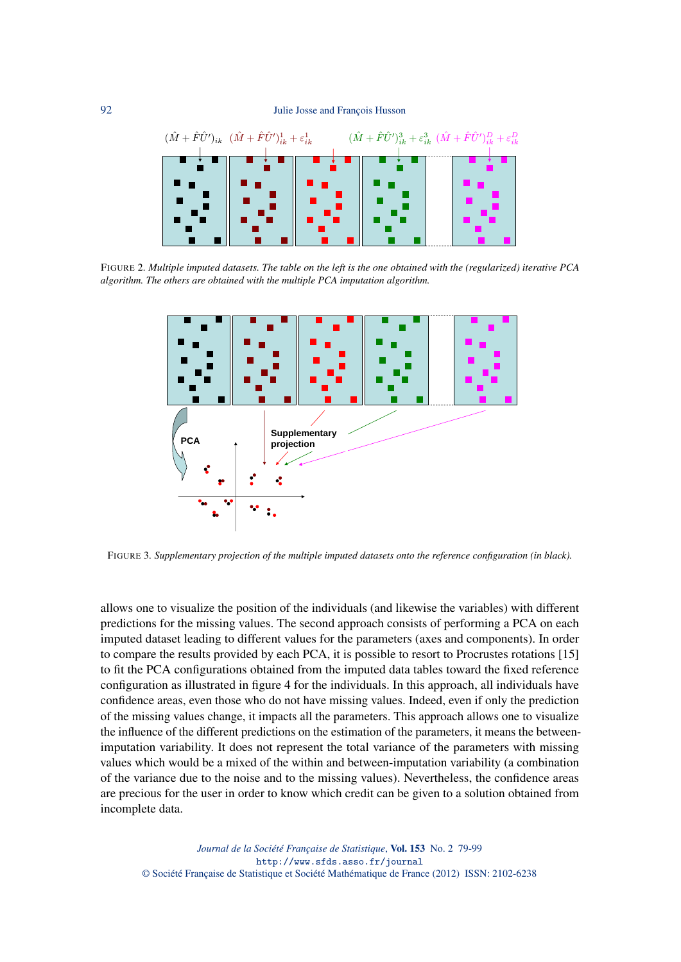

FIGURE 2*. Multiple imputed datasets. The table on the left is the one obtained with the (regularized) iterative PCA algorithm. The others are obtained with the multiple PCA imputation algorithm.*



FIGURE 3*. Supplementary projection of the multiple imputed datasets onto the reference configuration (in black).*

allows one to visualize the position of the individuals (and likewise the variables) with different predictions for the missing values. The second approach consists of performing a PCA on each imputed dataset leading to different values for the parameters (axes and components). In order to compare the results provided by each PCA, it is possible to resort to Procrustes rotations [15] to fit the PCA configurations obtained from the imputed data tables toward the fixed reference configuration as illustrated in figure 4 for the individuals. In this approach, all individuals have confidence areas, even those who do not have missing values. Indeed, even if only the prediction of the missing values change, it impacts all the parameters. This approach allows one to visualize the influence of the different predictions on the estimation of the parameters, it means the betweenimputation variability. It does not represent the total variance of the parameters with missing values which would be a mixed of the within and between-imputation variability (a combination of the variance due to the noise and to the missing values). Nevertheless, the confidence areas are precious for the user in order to know which credit can be given to a solution obtained from incomplete data.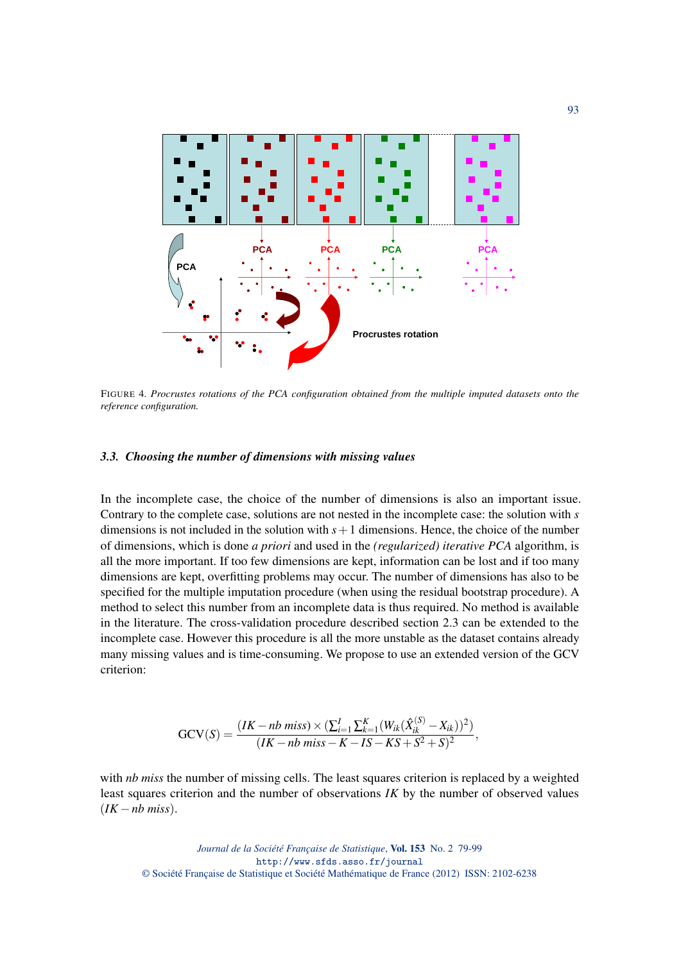

FIGURE 4*. Procrustes rotations of the PCA configuration obtained from the multiple imputed datasets onto the reference configuration.*

## *3.3. Choosing the number of dimensions with missing values*

In the incomplete case, the choice of the number of dimensions is also an important issue. Contrary to the complete case, solutions are not nested in the incomplete case: the solution with *s* dimensions is not included in the solution with *s*+1 dimensions. Hence, the choice of the number of dimensions, which is done *a priori* and used in the *(regularized) iterative PCA* algorithm, is all the more important. If too few dimensions are kept, information can be lost and if too many dimensions are kept, overfitting problems may occur. The number of dimensions has also to be specified for the multiple imputation procedure (when using the residual bootstrap procedure). A method to select this number from an incomplete data is thus required. No method is available in the literature. The cross-validation procedure described section 2.3 can be extended to the incomplete case. However this procedure is all the more unstable as the dataset contains already many missing values and is time-consuming. We propose to use an extended version of the GCV criterion:

$$
GCV(S) = \frac{(IK - nb \; miss) \times (\sum_{i=1}^{I} \sum_{k=1}^{K} (W_{ik}(\hat{X}_{ik}^{(S)} - X_{ik}))^2)}{(IK - nb \; miss - K - IS - KS + S^2 + S)^2},
$$

with *nb miss* the number of missing cells. The least squares criterion is replaced by a weighted least squares criterion and the number of observations *IK* by the number of observed values  $(IK - nb \, miss).$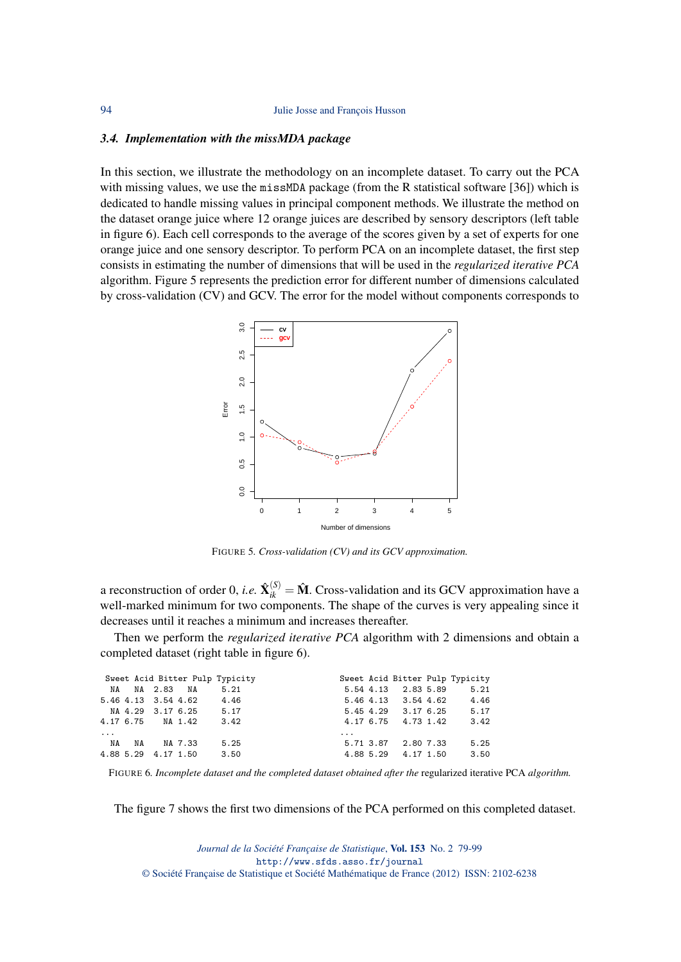#### *3.4. Implementation with the missMDA package*

In this section, we illustrate the methodology on an incomplete dataset. To carry out the PCA with missing values, we use the missMDA package (from the R statistical software [36]) which is dedicated to handle missing values in principal component methods. We illustrate the method on the dataset orange juice where 12 orange juices are described by sensory descriptors (left table in figure 6). Each cell corresponds to the average of the scores given by a set of experts for one orange juice and one sensory descriptor. To perform PCA on an incomplete dataset, the first step consists in estimating the number of dimensions that will be used in the *regularized iterative PCA* algorithm. Figure 5 represents the prediction error for different number of dimensions calculated by cross-validation (CV) and GCV. The error for the model without components corresponds to



FIGURE 5*. Cross-validation (CV) and its GCV approximation.*

a reconstruction of order 0, *i.e.*  $\hat{\mathbf{X}}_{ik}^{(S)} = \hat{\mathbf{M}}$ . Cross-validation and its GCV approximation have a well-marked minimum for two components. The shape of the curves is very appealing since it decreases until it reaches a minimum and increases thereafter.

Then we perform the *regularized iterative PCA* algorithm with 2 dimensions and obtain a completed dataset (right table in figure 6).

|          |            | Sweet Acid Bitter Pulp Typicity |          |                     | Sweet Acid Bitter Pulp Typicity |
|----------|------------|---------------------------------|----------|---------------------|---------------------------------|
|          |            | NA NA 2.83 NA 5.21              |          |                     | 5.54 4.13 2.83 5.89 5.21        |
|          |            | 5.46 4.13 3.54 4.62 4.46        |          |                     | 5.46 4.13 3.54 4.62 4.46        |
|          |            | NA 4.29 3.17 6.25 5.17          |          | 5.45 4.29 3.17 6.25 | 5.17                            |
|          |            | 4.17 6.75 NA 1.42 3.42          |          | 4.17 6.75 4.73 1.42 | 3.42                            |
| $\cdots$ |            |                                 | $\cdots$ |                     |                                 |
| NA       | NA NA 7.33 | 5.25                            |          | 5.71 3.87 2.80 7.33 | 5.25                            |
|          |            | 4.88 5.29 4.17 1.50 3.50        |          | 4.88 5.29 4.17 1.50 | 3.50                            |

FIGURE 6*. Incomplete dataset and the completed dataset obtained after the* regularized iterative PCA *algorithm.*

The figure 7 shows the first two dimensions of the PCA performed on this completed dataset.

*Journal de la Société Française de Statistique*, Vol. 153 No. 2 79-99 http://www.sfds.asso.fr/journal © Société Française de Statistique et Société Mathématique de France (2012) ISSN: 2102-6238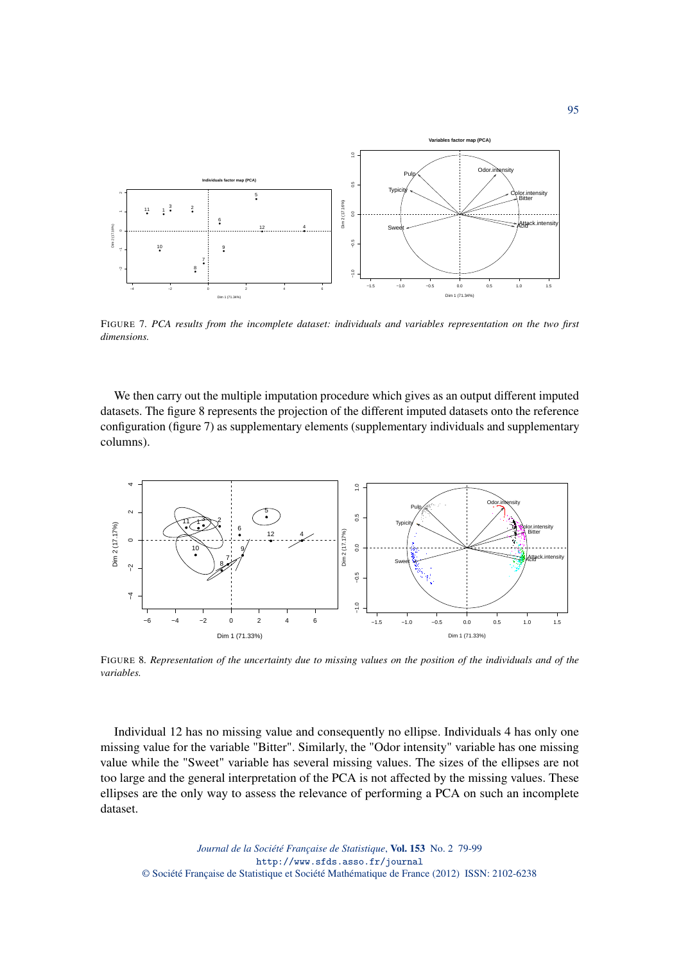

FIGURE 7*. PCA results from the incomplete dataset: individuals and variables representation on the two first dimensions.*

We then carry out the multiple imputation procedure which gives as an output different imputed datasets. The figure 8 represents the projection of the different imputed datasets onto the reference configuration (figure 7) as supplementary elements (supplementary individuals and supplementary columns).



FIGURE 8*. Representation of the uncertainty due to missing values on the position of the individuals and of the variables.*

Individual 12 has no missing value and consequently no ellipse. Individuals 4 has only one missing value for the variable "Bitter". Similarly, the "Odor intensity" variable has one missing value while the "Sweet" variable has several missing values. The sizes of the ellipses are not too large and the general interpretation of the PCA is not affected by the missing values. These ellipses are the only way to assess the relevance of performing a PCA on such an incomplete dataset.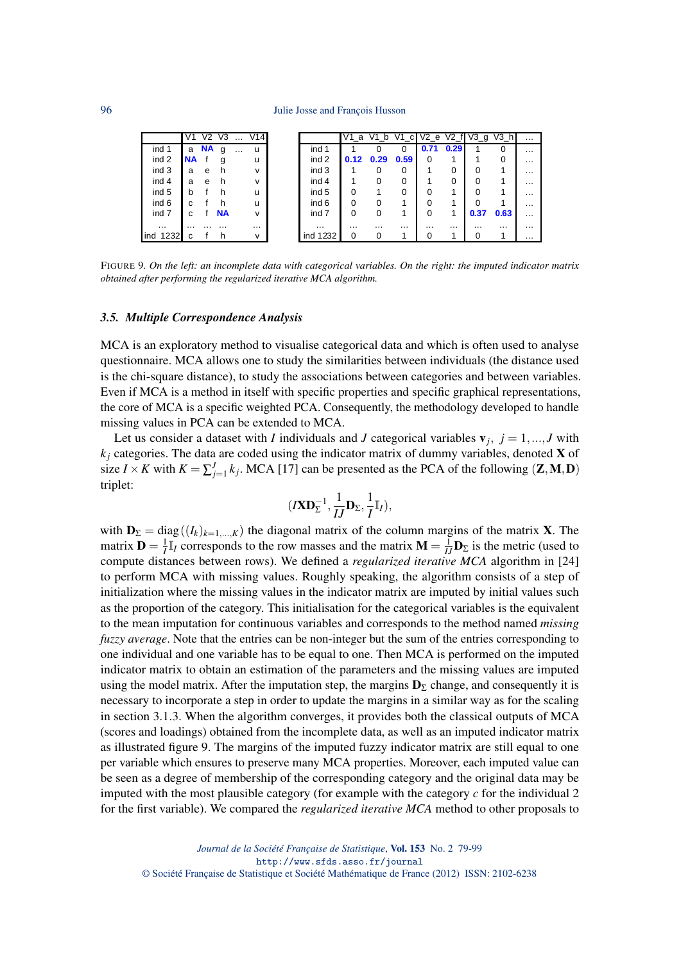|              | V1        | V <sub>2</sub> | V <sub>3</sub> |          | $\ldots$ V14 |          |          |          |          |      |          | V1_a V1_b V1_c V2_e V2_f V3_g | V3 h     | $\cdots$ |
|--------------|-----------|----------------|----------------|----------|--------------|----------|----------|----------|----------|------|----------|-------------------------------|----------|----------|
| ind 1        | a         | <b>NA</b>      | g              | $\cdots$ | u            | ind 1    |          |          | $\Omega$ | 0.71 | 0.29     |                               | 0        | $\cdots$ |
| ind 2        | <b>NA</b> |                |                |          | u            | ind 2    | 0.12     | 0.29     | 0.59     | 0    |          |                               | 0        | $\cdots$ |
| ind 3        | a         | e              | h              |          | v            | ind 3    |          |          |          |      | 0        |                               |          | $\cdots$ |
| ind 4        | a         | e              | h              |          | v            | ind 4    |          |          | 0        |      | 0        |                               |          | $\cdots$ |
| ind 5        | h         |                |                |          | u            | ind 5    | $\Omega$ |          |          | ŋ    |          |                               |          | $\cdots$ |
| ind 6        | c.        |                | h              |          | u            | ind 6    | $\Omega$ | 0        |          |      |          |                               |          | $\cdots$ |
| ind 7        | c         |                | <b>NA</b>      |          | v            | ind 7    | $\Omega$ | 0        |          | 0    |          | 0.37                          | 0.63     | $\cdots$ |
| $\cdots$     | .         | $\cdots$       | .              |          | $\cdots$     | $\cdots$ | $\cdots$ | $\cdots$ | $\cdots$ | .    | $\cdots$ | $\cdots$                      | $\cdots$ | $\cdots$ |
| 1232<br>lind | с         |                | h              |          | v            | ind 1232 | $\Omega$ | 0        |          |      |          |                               |          | $\cdots$ |

FIGURE 9*. On the left: an incomplete data with categorical variables. On the right: the imputed indicator matrix obtained after performing the regularized iterative MCA algorithm.*

#### *3.5. Multiple Correspondence Analysis*

MCA is an exploratory method to visualise categorical data and which is often used to analyse questionnaire. MCA allows one to study the similarities between individuals (the distance used is the chi-square distance), to study the associations between categories and between variables. Even if MCA is a method in itself with specific properties and specific graphical representations, the core of MCA is a specific weighted PCA. Consequently, the methodology developed to handle missing values in PCA can be extended to MCA.

Let us consider a dataset with *I* individuals and *J* categorical variables  $v_j$ ,  $j = 1, ..., J$  with  $k_i$  categories. The data are coded using the indicator matrix of dummy variables, denoted **X** of size *I* × *K* with  $K = \sum_{j=1}^{J} k_j$ . MCA [17] can be presented as the PCA of the following (**Z**, **M**, **D**) triplet:

$$
(I\mathbf{X}\mathbf{D}_{\Sigma}^{-1},\frac{1}{IJ}\mathbf{D}_{\Sigma},\frac{1}{I}\mathbb{I}_{I}),
$$

with  $\mathbf{D}_{\Sigma} = \text{diag}((I_k)_{k=1,\dots,K})$  the diagonal matrix of the column margins of the matrix **X**. The matrix  $\mathbf{D} = \frac{1}{I} \mathbb{I}_I$  corresponds to the row masses and the matrix  $\mathbf{M} = \frac{1}{I J} \mathbf{D}_{\Sigma}$  is the metric (used to compute distances between rows). We defined a *regularized iterative MCA* algorithm in [24] to perform MCA with missing values. Roughly speaking, the algorithm consists of a step of initialization where the missing values in the indicator matrix are imputed by initial values such as the proportion of the category. This initialisation for the categorical variables is the equivalent to the mean imputation for continuous variables and corresponds to the method named *missing fuzzy average*. Note that the entries can be non-integer but the sum of the entries corresponding to one individual and one variable has to be equal to one. Then MCA is performed on the imputed indicator matrix to obtain an estimation of the parameters and the missing values are imputed using the model matrix. After the imputation step, the margins  $\mathbf{D}_{\Sigma}$  change, and consequently it is necessary to incorporate a step in order to update the margins in a similar way as for the scaling in section 3.1.3. When the algorithm converges, it provides both the classical outputs of MCA (scores and loadings) obtained from the incomplete data, as well as an imputed indicator matrix as illustrated figure 9. The margins of the imputed fuzzy indicator matrix are still equal to one per variable which ensures to preserve many MCA properties. Moreover, each imputed value can be seen as a degree of membership of the corresponding category and the original data may be imputed with the most plausible category (for example with the category *c* for the individual 2 for the first variable). We compared the *regularized iterative MCA* method to other proposals to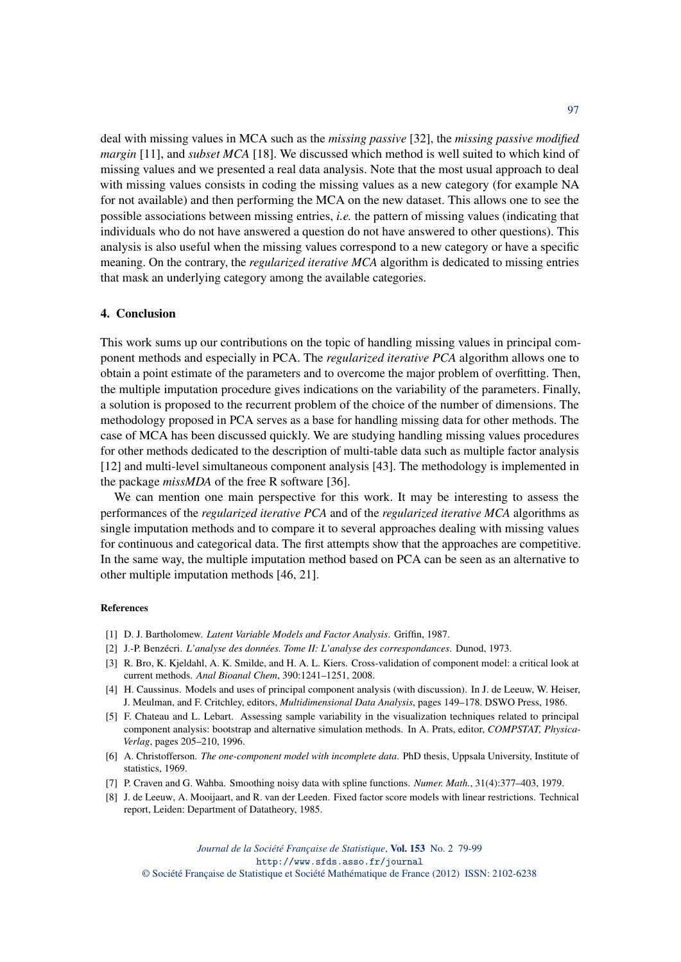deal with missing values in MCA such as the *missing passive* [32], the *missing passive modified margin* [11], and *subset MCA* [18]. We discussed which method is well suited to which kind of missing values and we presented a real data analysis. Note that the most usual approach to deal with missing values consists in coding the missing values as a new category (for example NA for not available) and then performing the MCA on the new dataset. This allows one to see the possible associations between missing entries, *i.e.* the pattern of missing values (indicating that individuals who do not have answered a question do not have answered to other questions). This analysis is also useful when the missing values correspond to a new category or have a specific meaning. On the contrary, the *regularized iterative MCA* algorithm is dedicated to missing entries that mask an underlying category among the available categories.

## 4. Conclusion

This work sums up our contributions on the topic of handling missing values in principal component methods and especially in PCA. The *regularized iterative PCA* algorithm allows one to obtain a point estimate of the parameters and to overcome the major problem of overfitting. Then, the multiple imputation procedure gives indications on the variability of the parameters. Finally, a solution is proposed to the recurrent problem of the choice of the number of dimensions. The methodology proposed in PCA serves as a base for handling missing data for other methods. The case of MCA has been discussed quickly. We are studying handling missing values procedures for other methods dedicated to the description of multi-table data such as multiple factor analysis [12] and multi-level simultaneous component analysis [43]. The methodology is implemented in the package *missMDA* of the free R software [36].

We can mention one main perspective for this work. It may be interesting to assess the performances of the *regularized iterative PCA* and of the *regularized iterative MCA* algorithms as single imputation methods and to compare it to several approaches dealing with missing values for continuous and categorical data. The first attempts show that the approaches are competitive. In the same way, the multiple imputation method based on PCA can be seen as an alternative to other multiple imputation methods [46, 21].

#### References

- [1] D. J. Bartholomew. *Latent Variable Models and Factor Analysis*. Griffin, 1987.
- [2] J.-P. Benzécri. *L'analyse des données. Tome II: L'analyse des correspondances*. Dunod, 1973.
- [3] R. Bro, K. Kjeldahl, A. K. Smilde, and H. A. L. Kiers. Cross-validation of component model: a critical look at current methods. *Anal Bioanal Chem*, 390:1241–1251, 2008.
- [4] H. Caussinus. Models and uses of principal component analysis (with discussion). In J. de Leeuw, W. Heiser, J. Meulman, and F. Critchley, editors, *Multidimensional Data Analysis*, pages 149–178. DSWO Press, 1986.
- [5] F. Chateau and L. Lebart. Assessing sample variability in the visualization techniques related to principal component analysis: bootstrap and alternative simulation methods. In A. Prats, editor, *COMPSTAT, Physica-Verlag*, pages 205–210, 1996.
- [6] A. Christofferson. *The one-component model with incomplete data*. PhD thesis, Uppsala University, Institute of statistics, 1969.
- [7] P. Craven and G. Wahba. Smoothing noisy data with spline functions. *Numer. Math.*, 31(4):377–403, 1979.
- [8] J. de Leeuw, A. Mooijaart, and R. van der Leeden. Fixed factor score models with linear restrictions. Technical report, Leiden: Department of Datatheory, 1985.

*Journal de la Société Française de Statistique*, Vol. 153 No. 2 79-99 http://www.sfds.asso.fr/journal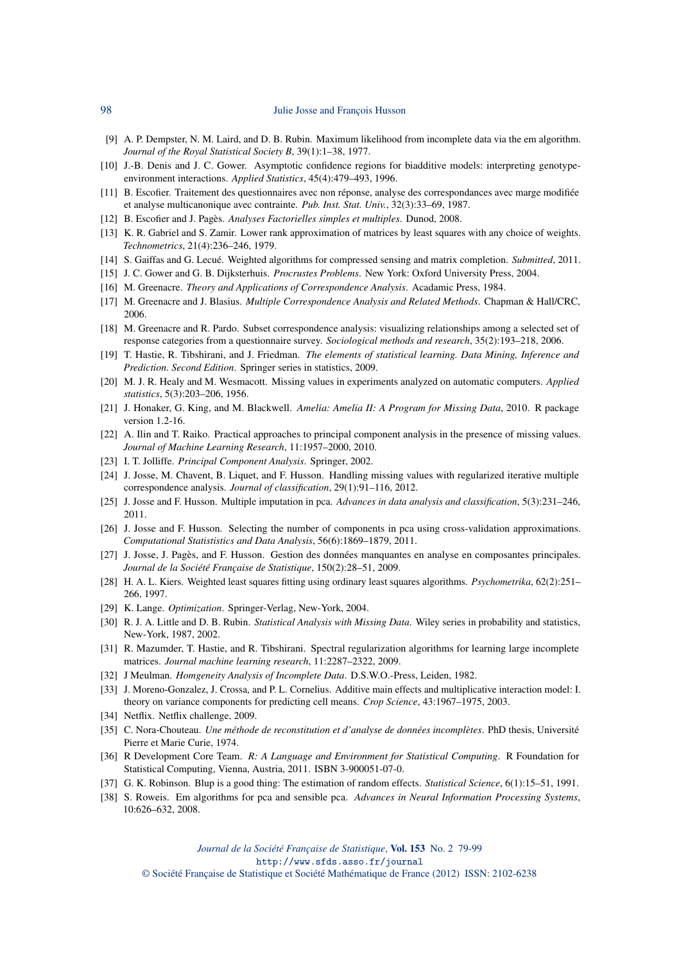- [9] A. P. Dempster, N. M. Laird, and D. B. Rubin. Maximum likelihood from incomplete data via the em algorithm. *Journal of the Royal Statistical Society B*, 39(1):1–38, 1977.
- [10] J.-B. Denis and J. C. Gower. Asymptotic confidence regions for biadditive models: interpreting genotypeenvironment interactions. *Applied Statistics*, 45(4):479–493, 1996.
- [11] B. Escofier. Traitement des questionnaires avec non réponse, analyse des correspondances avec marge modifiée et analyse multicanonique avec contrainte. *Pub. Inst. Stat. Univ.*, 32(3):33–69, 1987.
- [12] B. Escofier and J. Pagès. *Analyses Factorielles simples et multiples*. Dunod, 2008.
- [13] K. R. Gabriel and S. Zamir. Lower rank approximation of matrices by least squares with any choice of weights. *Technometrics*, 21(4):236–246, 1979.
- [14] S. Gaiffas and G. Lecué. Weighted algorithms for compressed sensing and matrix completion. *Submitted*, 2011.
- [15] J. C. Gower and G. B. Dijksterhuis. *Procrustes Problems*. New York: Oxford University Press, 2004.
- [16] M. Greenacre. *Theory and Applications of Correspondence Analysis*. Acadamic Press, 1984.
- [17] M. Greenacre and J. Blasius. *Multiple Correspondence Analysis and Related Methods*. Chapman & Hall/CRC, 2006.
- [18] M. Greenacre and R. Pardo. Subset correspondence analysis: visualizing relationships among a selected set of response categories from a questionnaire survey. *Sociological methods and research*, 35(2):193–218, 2006.
- [19] T. Hastie, R. Tibshirani, and J. Friedman. *The elements of statistical learning. Data Mining, Inference and Prediction. Second Edition*. Springer series in statistics, 2009.
- [20] M. J. R. Healy and M. Wesmacott. Missing values in experiments analyzed on automatic computers. *Applied statistics*, 5(3):203–206, 1956.
- [21] J. Honaker, G. King, and M. Blackwell. *Amelia: Amelia II: A Program for Missing Data*, 2010. R package version 1.2-16.
- [22] A. Ilin and T. Raiko. Practical approaches to principal component analysis in the presence of missing values. *Journal of Machine Learning Research*, 11:1957–2000, 2010.
- [23] I. T. Jolliffe. *Principal Component Analysis*. Springer, 2002.
- [24] J. Josse, M. Chavent, B. Liquet, and F. Husson. Handling missing values with regularized iterative multiple correspondence analysis. *Journal of classification*, 29(1):91–116, 2012.
- [25] J. Josse and F. Husson. Multiple imputation in pca. *Advances in data analysis and classification*, 5(3):231–246, 2011.
- [26] J. Josse and F. Husson. Selecting the number of components in pca using cross-validation approximations. *Computational Statististics and Data Analysis*, 56(6):1869–1879, 2011.
- [27] J. Josse, J. Pagès, and F. Husson. Gestion des données manquantes en analyse en composantes principales. *Journal de la Société Française de Statistique*, 150(2):28–51, 2009.
- [28] H. A. L. Kiers. Weighted least squares fitting using ordinary least squares algorithms. *Psychometrika*, 62(2):251– 266, 1997.
- [29] K. Lange. *Optimization*. Springer-Verlag, New-York, 2004.
- [30] R. J. A. Little and D. B. Rubin. *Statistical Analysis with Missing Data*. Wiley series in probability and statistics, New-York, 1987, 2002.
- [31] R. Mazumder, T. Hastie, and R. Tibshirani. Spectral regularization algorithms for learning large incomplete matrices. *Journal machine learning research*, 11:2287–2322, 2009.
- [32] J Meulman. *Homgeneity Analysis of Incomplete Data*. D.S.W.O.-Press, Leiden, 1982.
- [33] J. Moreno-Gonzalez, J. Crossa, and P. L. Cornelius. Additive main effects and multiplicative interaction model: I. theory on variance components for predicting cell means. *Crop Science*, 43:1967–1975, 2003.
- [34] Netflix. Netflix challenge, 2009.
- [35] C. Nora-Chouteau. *Une méthode de reconstitution et d'analyse de données incomplètes*. PhD thesis, Université Pierre et Marie Curie, 1974.
- [36] R Development Core Team. *R: A Language and Environment for Statistical Computing*. R Foundation for Statistical Computing, Vienna, Austria, 2011. ISBN 3-900051-07-0.
- [37] G. K. Robinson. Blup is a good thing: The estimation of random effects. *Statistical Science*, 6(1):15–51, 1991.
- [38] S. Roweis. Em algorithms for pca and sensible pca. *Advances in Neural Information Processing Systems*, 10:626–632, 2008.

*Journal de la Société Française de Statistique*, Vol. 153 No. 2 79-99 http://www.sfds.asso.fr/journal

© Société Française de Statistique et Société Mathématique de France (2012) ISSN: 2102-6238